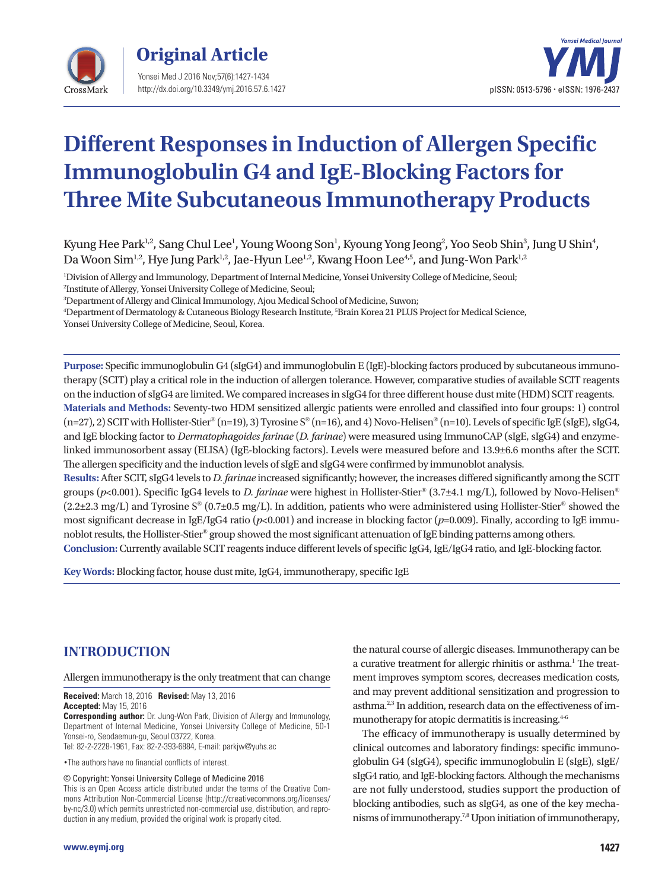



# **Different Responses in Induction of Allergen Specific Immunoglobulin G4 and IgE-Blocking Factors for Three Mite Subcutaneous Immunotherapy Products**

Kyung Hee Park $^{\rm l,2}$ , Sang Chul Lee $^{\rm l}$ , Young Woong Son $^{\rm l}$ , Kyoung Yong Jeong $^{\rm 2}$ , Yoo Seob Shin $^{\rm 3}$ , Jung U Shin $^{\rm 4}$ , Da Woon Sim<sup>1,2</sup>, Hye Jung Park<sup>1,2</sup>, Jae-Hyun Lee<sup>1,2</sup>, Kwang Hoon Lee<sup>4,5</sup>, and Jung-Won Park<sup>1,2</sup>

1 Division of Allergy and Immunology, Department of Internal Medicine, Yonsei University College of Medicine, Seoul; 2 Institute of Allergy, Yonsei University College of Medicine, Seoul;

3 Department of Allergy and Clinical Immunology, Ajou Medical School of Medicine, Suwon;

4 Department of Dermatology & Cutaneous Biology Research Institute, 5 Brain Korea 21 PLUS Project for Medical Science,

Yonsei University College of Medicine, Seoul, Korea.

**Purpose:** Specific immunoglobulin G4 (sIgG4) and immunoglobulin E (IgE)-blocking factors produced by subcutaneous immunotherapy (SCIT) play a critical role in the induction of allergen tolerance. However, comparative studies of available SCIT reagents on the induction of sIgG4 are limited. We compared increases in sIgG4 for three different house dust mite (HDM) SCIT reagents. **Materials and Methods:** Seventy-two HDM sensitized allergic patients were enrolled and classified into four groups: 1) control  $(n=27), 2)$  SCIT with Hollister-Stier®  $(n=19), 3)$  Tyrosine S®  $(n=16)$ , and 4) Novo-Helisen®  $(n=10)$ . Levels of specific IgE (sIgE), sIgG4, and IgE blocking factor to *Dermatophagoides farinae* (*D. farinae*) were measured using ImmunoCAP (sIgE, sIgG4) and enzymelinked immunosorbent assay (ELISA) (IgE-blocking factors). Levels were measured before and 13.9±6.6 months after the SCIT.

The allergen specificity and the induction levels of sIgE and sIgG4 were confirmed by immunoblot analysis. **Results:** After SCIT, sIgG4 levels to *D. farinae* increased significantly; however, the increases differed significantly among the SCIT groups (*p*<0.001). Specific IgG4 levels to *D. farinae* were highest in Hollister-Stier® (3.7±4.1 mg/L), followed by Novo-Helisen®  $(2.2\pm 2.3 \text{ mg/L})$  and Tyrosine S<sup>®</sup> (0.7 $\pm$ 0.5 mg/L). In addition, patients who were administered using Hollister-Stier<sup>®</sup> showed the most significant decrease in IgE/IgG4 ratio ( $p$ <0.001) and increase in blocking factor ( $p$ =0.009). Finally, according to IgE immunoblot results, the Hollister-Stier® group showed the most significant attenuation of IgE binding patterns among others. **Conclusion:** Currently available SCIT reagents induce different levels of specific IgG4, IgE/IgG4 ratio, and IgE-blocking factor.

**Key Words:** Blocking factor, house dust mite, IgG4, immunotherapy, specific IgE

# **INTRODUCTION**

#### Allergen immunotherapy is the only treatment that can change

**Received:** March 18, 2016 **Revised:** May 13, 2016 **Accepted:** May 15, 2016

**Corresponding author:** Dr. Jung-Won Park, Division of Allergy and Immunology, Department of Internal Medicine, Yonsei University College of Medicine, 50-1 Yonsei-ro, Seodaemun-gu, Seoul 03722, Korea.

Tel: 82-2-2228-1961, Fax: 82-2-393-6884, E-mail: parkjw@yuhs.ac

•The authors have no financial conflicts of interest.

© Copyright: Yonsei University College of Medicine 2016

This is an Open Access article distributed under the terms of the Creative Commons Attribution Non-Commercial License (http://creativecommons.org/licenses/ by-nc/3.0) which permits unrestricted non-commercial use, distribution, and reproduction in any medium, provided the original work is properly cited.

the natural course of allergic diseases. Immunotherapy can be a curative treatment for allergic rhinitis or asthma.<sup>1</sup> The treatment improves symptom scores, decreases medication costs, and may prevent additional sensitization and progression to asthma.<sup>2,3</sup> In addition, research data on the effectiveness of immunotherapy for atopic dermatitis is increasing.<sup>4-6</sup>

The efficacy of immunotherapy is usually determined by clinical outcomes and laboratory findings: specific immunoglobulin G4 (sIgG4), specific immunoglobulin E (sIgE), sIgE/ sIgG4 ratio, and IgE-blocking factors. Although the mechanisms are not fully understood, studies support the production of blocking antibodies, such as sIgG4, as one of the key mechanisms of immunotherapy.7,8 Upon initiation of immunotherapy,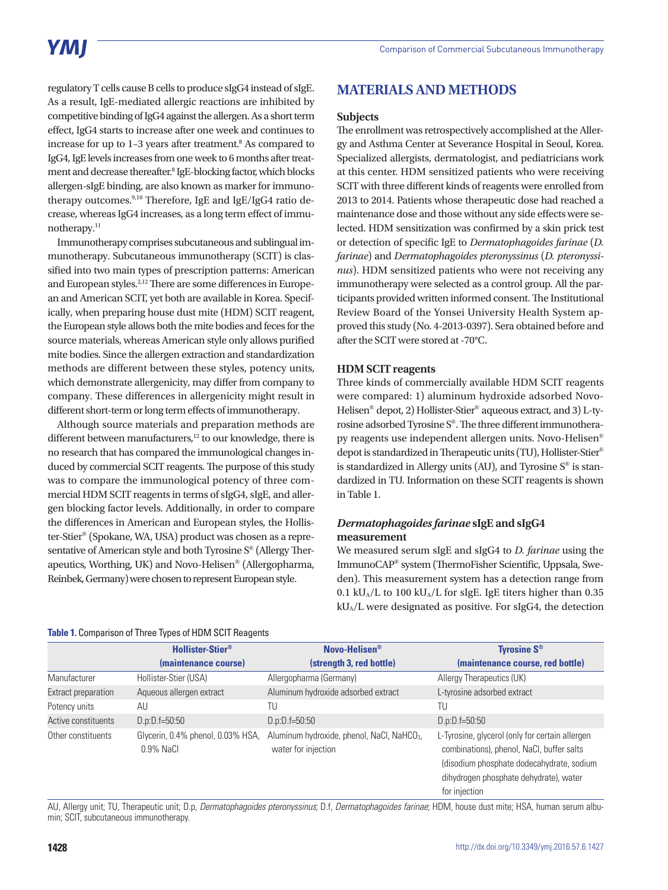# YMI

regulatory T cells cause B cells to produce sIgG4 instead of sIgE. As a result, IgE-mediated allergic reactions are inhibited by competitive binding of IgG4 against the allergen. As a short term effect, IgG4 starts to increase after one week and continues to increase for up to 1-3 years after treatment.<sup>8</sup> As compared to IgG4, IgE levels increases from one week to 6 months after treatment and decrease thereafter.<sup>8</sup> IgE-blocking factor, which blocks allergen-sIgE binding, are also known as marker for immunotherapy outcomes.9,10 Therefore, IgE and IgE/IgG4 ratio decrease, whereas IgG4 increases, as a long term effect of immunotherapy.<sup>11</sup>

Immunotherapy comprises subcutaneous and sublingual immunotherapy. Subcutaneous immunotherapy (SCIT) is classified into two main types of prescription patterns: American and European styles.<sup>2,12</sup> There are some differences in European and American SCIT, yet both are available in Korea. Specifically, when preparing house dust mite (HDM) SCIT reagent, the European style allows both the mite bodies and feces for the source materials, whereas American style only allows purified mite bodies. Since the allergen extraction and standardization methods are different between these styles, potency units, which demonstrate allergenicity, may differ from company to company. These differences in allergenicity might result in different short-term or long term effects of immunotherapy.

Although source materials and preparation methods are different between manufacturers,<sup>12</sup> to our knowledge, there is no research that has compared the immunological changes induced by commercial SCIT reagents. The purpose of this study was to compare the immunological potency of three commercial HDM SCIT reagents in terms of sIgG4, sIgE, and allergen blocking factor levels. Additionally, in order to compare the differences in American and European styles, the Hollister-Stier® (Spokane, WA, USA) product was chosen as a representative of American style and both Tyrosine S® (Allergy Therapeutics, Worthing, UK) and Novo-Helisen® (Allergopharma, Reinbek, Germany) were chosen to represent European style.

# **MATERIALS AND METHODS**

#### **Subjects**

The enrollment was retrospectively accomplished at the Allergy and Asthma Center at Severance Hospital in Seoul, Korea. Specialized allergists, dermatologist, and pediatricians work at this center. HDM sensitized patients who were receiving SCIT with three different kinds of reagents were enrolled from 2013 to 2014. Patients whose therapeutic dose had reached a maintenance dose and those without any side effects were selected. HDM sensitization was confirmed by a skin prick test or detection of specific IgE to *Dermatophagoides farinae* (*D. farinae*) and *Dermatophagoides pteronyssinus* (*D. pteronyssinus*). HDM sensitized patients who were not receiving any immunotherapy were selected as a control group. All the participants provided written informed consent. The Institutional Review Board of the Yonsei University Health System approved this study (No. 4-2013-0397). Sera obtained before and after the SCIT were stored at -70°C.

#### **HDM SCIT reagents**

Three kinds of commercially available HDM SCIT reagents were compared: 1) aluminum hydroxide adsorbed Novo-Helisen® depot, 2) Hollister-Stier® aqueous extract, and 3) L-tyrosine adsorbed Tyrosine S®. The three different immunotherapy reagents use independent allergen units. Novo-Helisen® depot is standardized in Therapeutic units (TU), Hollister-Stier® is standardized in Allergy units (AU), and Tyrosine  $S^{\circledast}$  is standardized in TU. Information on these SCIT reagents is shown in Table 1.

### *Dermatophagoides farinae* **sIgE and sIgG4 measurement**

We measured serum sIgE and sIgG4 to *D. farinae* using the ImmunoCAP® system (ThermoFisher Scientific, Uppsala, Sweden). This measurement system has a detection range from 0.1 kU<sub>A</sub>/L to 100 kU<sub>A</sub>/L for sIgE. IgE titers higher than 0.35 kUA/L were designated as positive. For sIgG4, the detection

| Table 1. Comparison of Three Types of HDM SCIT Reagents |  |  |
|---------------------------------------------------------|--|--|
|---------------------------------------------------------|--|--|

|                     | <b>Hollister-Stier®</b>                           | Novo-Helisen <sup>®</sup>                                                     | <b>Tyrosine S®</b>                                                                                                                                                                                   |
|---------------------|---------------------------------------------------|-------------------------------------------------------------------------------|------------------------------------------------------------------------------------------------------------------------------------------------------------------------------------------------------|
|                     | (maintenance course)                              | (strength 3, red bottle)                                                      | (maintenance course, red bottle)                                                                                                                                                                     |
| Manufacturer        | Hollister-Stier (USA)                             | Allergopharma (Germany)                                                       | Allergy Therapeutics (UK)                                                                                                                                                                            |
| Extract preparation | Aqueous allergen extract                          | Aluminum hydroxide adsorbed extract                                           | L-tyrosine adsorbed extract                                                                                                                                                                          |
| Potency units       | AU                                                | TU                                                                            | TU                                                                                                                                                                                                   |
| Active constituents | $D.p:D.f=50:50$                                   | $D.p:D.f=50:50$                                                               | $D.p:D.f=50:50$                                                                                                                                                                                      |
| Other constituents  | Glycerin, 0.4% phenol, 0.03% HSA,<br>$0.9\%$ NaCl | Aluminum hydroxide, phenol, NaCl, NaHCO <sub>3</sub> ,<br>water for injection | L-Tyrosine, glycerol (only for certain allergen<br>combinations), phenol, NaCl, buffer salts<br>(disodium phosphate dodecahydrate, sodium<br>dihydrogen phosphate dehydrate), water<br>for injection |

AU, Allergy unit; TU, Therapeutic unit; D.p, *Dermatophagoides pteronyssinus*; D.f, *Dermatophagoides farinae*; HDM, house dust mite; HSA, human serum albumin; SCIT, subcutaneous immunotherapy.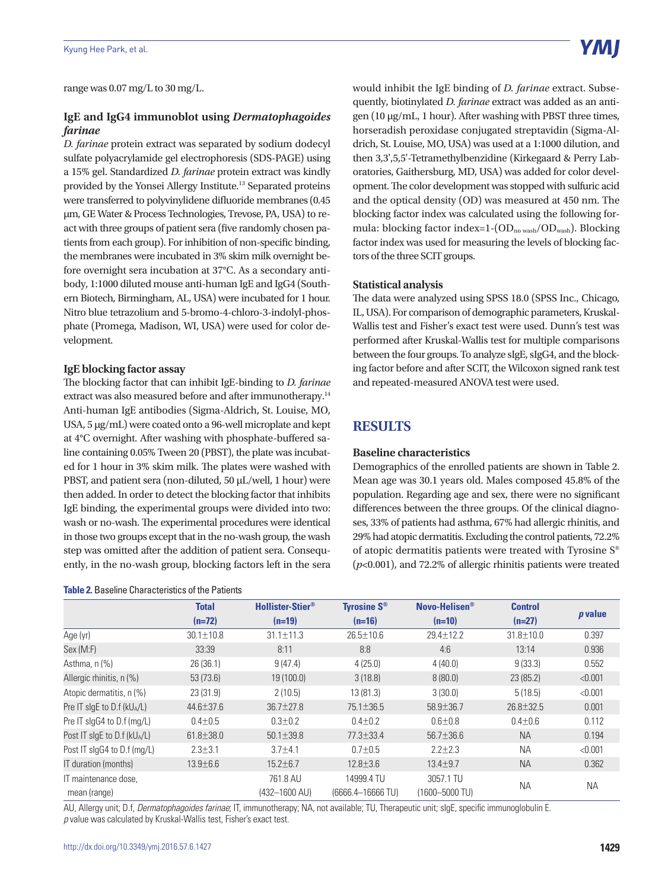range was 0.07 mg/L to 30 mg/L.

## **IgE and IgG4 immunoblot using** *Dermatophagoides farinae*

*D. farinae* protein extract was separated by sodium dodecyl sulfate polyacrylamide gel electrophoresis (SDS-PAGE) using a 15% gel. Standardized *D. farinae* protein extract was kindly provided by the Yonsei Allergy Institute.13 Separated proteins were transferred to polyvinylidene difluoride membranes (0.45 μm, GE Water & Process Technologies, Trevose, PA, USA) to react with three groups of patient sera (five randomly chosen patients from each group). For inhibition of non-specific binding, the membranes were incubated in 3% skim milk overnight before overnight sera incubation at 37°C. As a secondary antibody, 1:1000 diluted mouse anti-human IgE and IgG4 (Southern Biotech, Birmingham, AL, USA) were incubated for 1 hour. Nitro blue tetrazolium and 5-bromo-4-chloro-3-indolyl-phosphate (Promega, Madison, WI, USA) were used for color development.

#### **IgE blocking factor assay**

The blocking factor that can inhibit IgE-binding to *D. farinae*  extract was also measured before and after immunotherapy.<sup>14</sup> Anti-human IgE antibodies (Sigma-Aldrich, St. Louise, MO, USA, 5 µg/mL) were coated onto a 96-well microplate and kept at 4°C overnight. After washing with phosphate-buffered saline containing 0.05% Tween 20 (PBST), the plate was incubated for 1 hour in 3% skim milk. The plates were washed with PBST, and patient sera (non-diluted, 50 μL/well, 1 hour) were then added. In order to detect the blocking factor that inhibits IgE binding, the experimental groups were divided into two: wash or no-wash. The experimental procedures were identical in those two groups except that in the no-wash group, the wash step was omitted after the addition of patient sera. Consequently, in the no-wash group, blocking factors left in the sera

#### **Table 2.** Baseline Characteristics of the Patients

would inhibit the IgE binding of *D. farinae* extract. Subsequently, biotinylated *D. farinae* extract was added as an antigen (10 µg/mL, 1 hour). After washing with PBST three times, horseradish peroxidase conjugated streptavidin (Sigma-Aldrich, St. Louise, MO, USA) was used at a 1:1000 dilution, and then 3,3',5,5'-Tetramethylbenzidine (Kirkegaard & Perry Laboratories, Gaithersburg, MD, USA) was added for color development. The color development was stopped with sulfuric acid and the optical density (OD) was measured at 450 nm. The blocking factor index was calculated using the following formula: blocking factor index=1- $(OD_{no\, wash}/OD_{wash})$ . Blocking factor index was used for measuring the levels of blocking factors of the three SCIT groups.

#### **Statistical analysis**

The data were analyzed using SPSS 18.0 (SPSS Inc., Chicago, IL, USA). For comparison of demographic parameters, Kruskal-Wallis test and Fisher's exact test were used. Dunn's test was performed after Kruskal-Wallis test for multiple comparisons between the four groups. To analyze sIgE, sIgG4, and the blocking factor before and after SCIT, the Wilcoxon signed rank test and repeated-measured ANOVA test were used.

## **RESULTS**

#### **Baseline characteristics**

Demographics of the enrolled patients are shown in Table 2. Mean age was 30.1 years old. Males composed 45.8% of the population. Regarding age and sex, there were no significant differences between the three groups. Of the clinical diagnoses, 33% of patients had asthma, 67% had allergic rhinitis, and 29% had atopic dermatitis. Excluding the control patients, 72.2% of atopic dermatitis patients were treated with Tyrosine S® (*p*<0.001), and 72.2% of allergic rhinitis patients were treated

|                                            | <b>Total</b>    | <b>Hollister-Stier®</b>   | <b>Tyrosine S®</b>              | Novo-Helisen <sup>®</sup>   | <b>Control</b>  | $p$ value |
|--------------------------------------------|-----------------|---------------------------|---------------------------------|-----------------------------|-----------------|-----------|
|                                            | $(n=72)$        | $(n=19)$                  | $(n=16)$                        | $(n=10)$                    | $(n=27)$        |           |
| Age (yr)                                   | $30.1 \pm 10.8$ | $31.1 \pm 11.3$           | $26.5 \pm 10.6$                 | $29.4 \pm 12.2$             | $31.8 \pm 10.0$ | 0.397     |
| Sex (M:F)                                  | 33:39           | 8:11                      | 8:8                             | 4:6                         | 13:14           | 0.936     |
| Asthma, $n$ (%)                            | 26 (36.1)       | 9(47.4)                   | 4(25.0)                         | 4(40.0)                     | 9(33.3)         | 0.552     |
| Allergic rhinitis, n (%)                   | 53(73.6)        | 19 (100.0)                | 3(18.8)                         | 8(80.0)                     | 23(85.2)        | < 0.001   |
| Atopic dermatitis, n (%)                   | 23(31.9)        | 2(10.5)                   | 13(81.3)                        | 3(30.0)                     | 5(18.5)         | < 0.001   |
| Pre IT slgE to D.f ( $kU_A/L$ )            | $44.6 \pm 37.6$ | $36.7 \pm 27.8$           | 75.1±36.5                       | $58.9 \pm 36.7$             | 26.8±32.5       | 0.001     |
| Pre IT slgG4 to D.f (mg/L)                 | $0.4 + 0.5$     | $0.3 \pm 0.2$             | $0.4 \pm 0.2$                   | $0.6 + 0.8$                 | $0.4 \pm 0.6$   | 0.112     |
| Post IT slgE to $D.f$ (kU <sub>A</sub> /L) | $61.8 \pm 38.0$ | $50.1 \pm 39.8$           | 77.3±33.4                       | 56.7±36.6                   | <b>NA</b>       | 0.194     |
| Post IT slgG4 to D.f (mg/L)                | $2.3 \pm 3.1$   | $3.7 + 4.1$               | $0.7 + 0.5$                     | $2.2 \pm 2.3$               | <b>NA</b>       | < 0.001   |
| IT duration (months)                       | $13.9 \pm 6.6$  | $15.2 \pm 6.7$            | $12.8 \pm 3.6$                  | $13.4 \pm 9.7$              | <b>NA</b>       | 0.362     |
| IT maintenance dose.<br>mean (range)       |                 | 761.8 AU<br>(432-1600 AU) | 14999.4 TU<br>(6666.4-16666 TU) | 3057.1 TU<br>(1600-5000 TU) | <b>NA</b>       | <b>NA</b> |

AU, Allergy unit; D.f, *Dermatophagoides farinae*; IT, immunotherapy; NA, not available; TU, Therapeutic unit; sIgE, specific immunoglobulin E. *p* value was calculated by Kruskal-Wallis test, Fisher's exact test.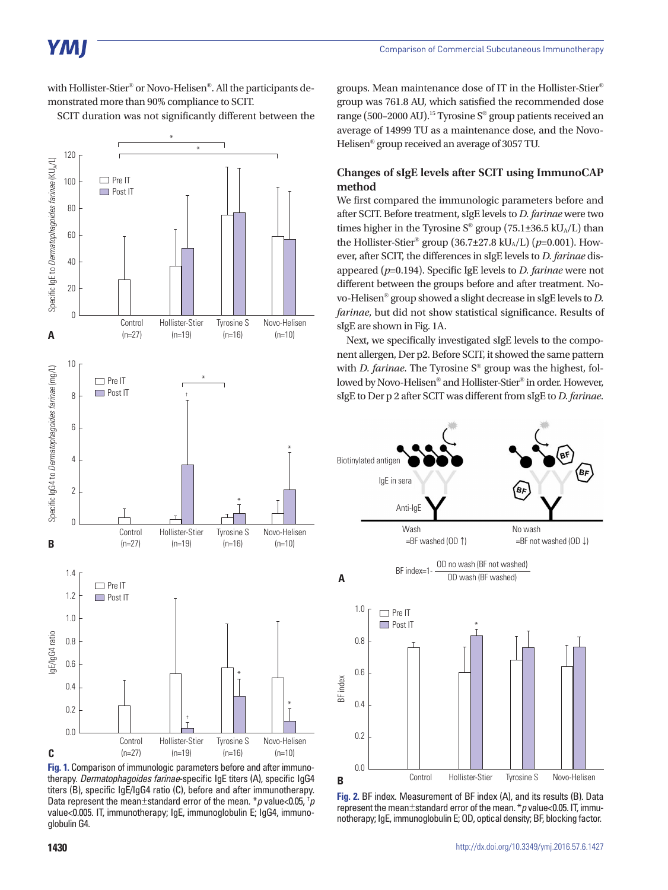with Hollister-Stier® or Novo-Helisen®. All the participants demonstrated more than 90% compliance to SCIT.

SCIT duration was not significantly different between the



**Fig. 1.** Comparison of immunologic parameters before and after immunotherapy. *Dermatophagoides farinae*-specific IgE titers (A), specific IgG4 titers (B), specific IgE/IgG4 ratio (C), before and after immunotherapy. Data represent the mean±standard error of the mean. \**p* value<0.05, † *p* value<0.005. IT, immunotherapy; IgE, immunoglobulin E; IgG4, immunoglobulin G4.

groups. Mean maintenance dose of IT in the Hollister-Stier® group was 761.8 AU, which satisfied the recommended dose range (500–2000 AU).<sup>15</sup> Tyrosine  $S^{\circledast}$  group patients received an average of 14999 TU as a maintenance dose, and the Novo-Helisen® group received an average of 3057 TU.

### **Changes of sIgE levels after SCIT using ImmunoCAP method**

We first compared the immunologic parameters before and after SCIT. Before treatment, sIgE levels to *D. farinae* were two times higher in the Tyrosine  $S^{\circ}$  group (75.1±36.5 kU<sub>A</sub>/L) than the Hollister-Stier<sup>®</sup> group (36.7±27.8 kU<sub>A</sub>/L) ( $p=0.001$ ). However, after SCIT, the differences in sIgE levels to *D. farinae* disappeared (*p*=0.194). Specific IgE levels to *D. farinae* were not different between the groups before and after treatment. Novo-Helisen® group showed a slight decrease in sIgE levels to *D. farinae*, but did not show statistical significance. Results of sIgE are shown in Fig. 1A.

Next, we specifically investigated sIgE levels to the component allergen, Der p2. Before SCIT, it showed the same pattern with *D. farinae*. The Tyrosine S® group was the highest, followed by Novo-Helisen® and Hollister-Stier® in order. However, sIgE to Der p 2 after SCIT was different from sIgE to *D. farinae*.



**Fig. 2.** BF index. Measurement of BF index (A), and its results (B). Data represent the mean±standard error of the mean. \**p* value<0.05. IT, immunotherapy; IgE, immunoglobulin E; OD, optical density; BF, blocking factor.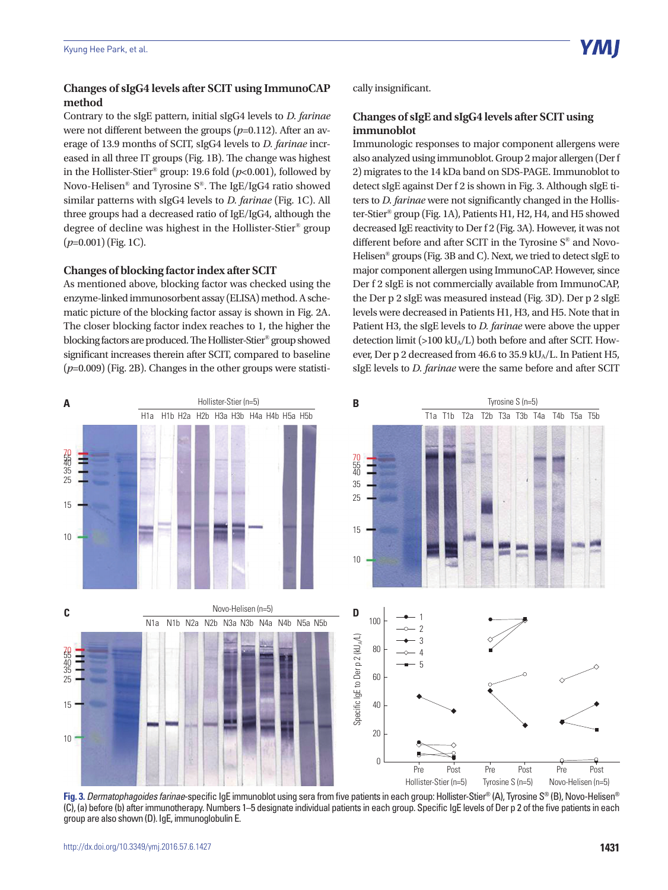## **Changes of sIgG4 levels after SCIT using ImmunoCAP method**

Contrary to the sIgE pattern, initial sIgG4 levels to *D. farinae* were not different between the groups ( $p=0.112$ ). After an average of 13.9 months of SCIT, sIgG4 levels to *D. farinae* increased in all three IT groups (Fig. 1B). The change was highest in the Hollister-Stier<sup>®</sup> group: 19.6 fold  $(p<0.001)$ , followed by Novo-Helisen® and Tyrosine S®. The IgE/IgG4 ratio showed similar patterns with sIgG4 levels to *D. farinae* (Fig. 1C). All three groups had a decreased ratio of IgE/IgG4, although the degree of decline was highest in the Hollister-Stier® group (*p*=0.001) (Fig. 1C).

#### **Changes of blocking factor index after SCIT**

As mentioned above, blocking factor was checked using the enzyme-linked immunosorbent assay (ELISA) method. A schematic picture of the blocking factor assay is shown in Fig. 2A. The closer blocking factor index reaches to 1, the higher the blocking factors are produced. The Hollister-Stier® group showed significant increases therein after SCIT, compared to baseline (*p*=0.009) (Fig. 2B). Changes in the other groups were statistically insignificant.

## **Changes of sIgE and sIgG4 levels after SCIT using immunoblot**

Immunologic responses to major component allergens were also analyzed using immunoblot. Group 2 major allergen (Der f 2) migrates to the 14 kDa band on SDS-PAGE. Immunoblot to detect sIgE against Der f 2 is shown in Fig. 3. Although sIgE titers to *D. farinae* were not significantly changed in the Hollister-Stier® group (Fig. 1A), Patients H1, H2, H4, and H5 showed decreased IgE reactivity to Der f 2 (Fig. 3A). However, it was not different before and after SCIT in the Tyrosine S® and Novo-Helisen® groups (Fig. 3B and C). Next, we tried to detect sIgE to major component allergen using ImmunoCAP. However, since Der f 2 sIgE is not commercially available from ImmunoCAP, the Der p 2 sIgE was measured instead (Fig. 3D). Der p 2 sIgE levels were decreased in Patients H1, H3, and H5. Note that in Patient H3, the sIgE levels to *D. farinae* were above the upper detection limit (>100 kUA/L) both before and after SCIT. However, Der p 2 decreased from 46.6 to 35.9 kU<sub>A</sub>/L. In Patient H5, sIgE levels to *D. farinae* were the same before and after SCIT



**Fig. 3.***Dermatophagoides farinae*-specific IgE immunoblot using sera from five patients in each group: Hollister-Stier® (A), Tyrosine S® (B), Novo-Helisen® (C), (a) before (b) after immunotherapy. Numbers 1–5 designate individual patients in each group. Specific IgE levels of Der p 2 of the five patients in each group are also shown (D). IgE, immunoglobulin E.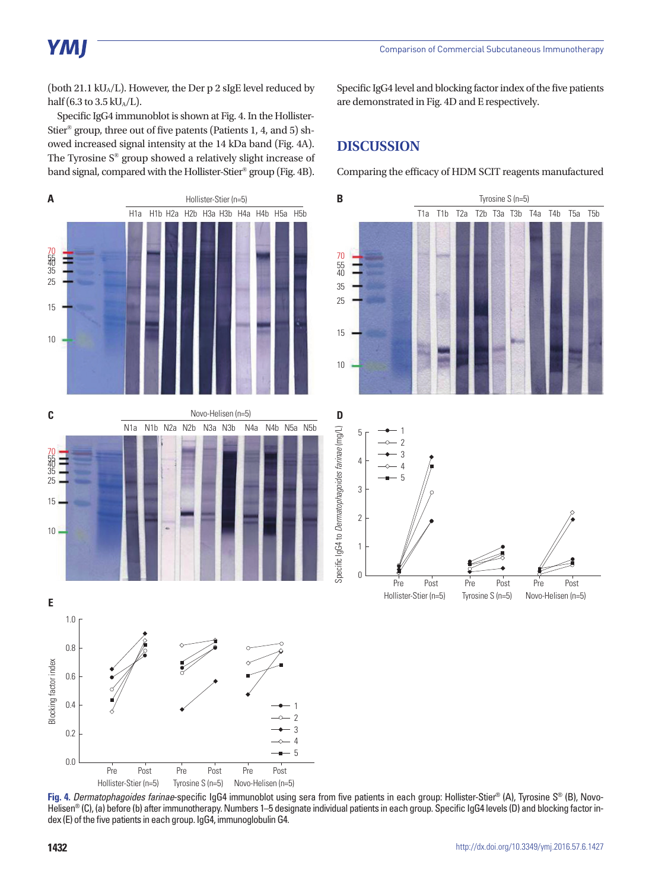(both 21.1 kU<sub>A</sub>/L). However, the Der p 2 sIgE level reduced by half (6.3 to 3.5 kU $_A/L$ ).

Specific IgG4 immunoblot is shown at Fig. 4. In the Hollister-Stier® group, three out of five patents (Patients 1, 4, and 5) showed increased signal intensity at the 14 kDa band (Fig. 4A). The Tyrosine S® group showed a relatively slight increase of band signal, compared with the Hollister-Stier® group (Fig. 4B).

70<br>5년<br>35 25 15 10 70<br>5년<br>35 25 15 10 H1a H1b H2a H2b H3a H3b H4a H4b H5a H5b N1a N1b N2a N2b N3a N3b N4a N4b N5a N5b **A** Tyrosine S (n=5) **B B** Tyrosine S (n=5) Novo-Helisen (n=5) **C E** 1.0 0.8 0.6 0.4 1

Specific IgG4 level and blocking factor index of the five patients are demonstrated in Fig. 4D and E respectively.

# **DISCUSSION**

Comparing the efficacy of HDM SCIT reagents manufactured





**Fig. 4.** *Dermatophagoides farinae*-specific IgG4 immunoblot using sera from five patients in each group: Hollister-Stier® (A), Tyrosine S® (B), Novo-Helisen<sup>®</sup> (C), (a) before (b) after immunotherapy. Numbers 1–5 designate individual patients in each group. Specific IgG4 levels (D) and blocking factor index (E) of the five patients in each group. IgG4, immunoglobulin G4.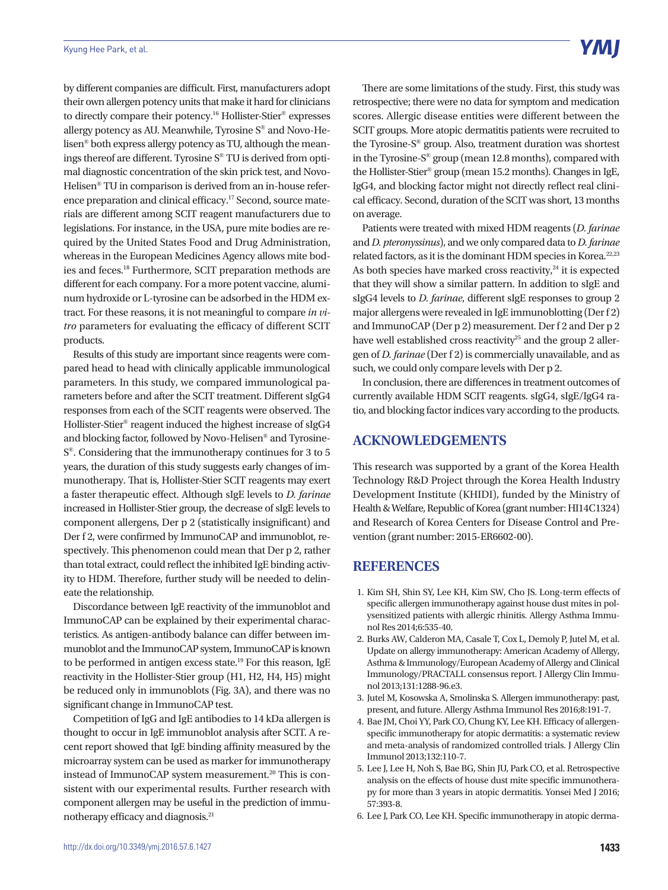by different companies are difficult. First, manufacturers adopt their own allergen potency units that make it hard for clinicians to directly compare their potency.16 Hollister-Stier® expresses allergy potency as AU. Meanwhile, Tyrosine S® and Novo-Helisen® both express allergy potency as TU, although the meanings thereof are different. Tyrosine S® TU is derived from optimal diagnostic concentration of the skin prick test, and Novo-Helisen® TU in comparison is derived from an in-house reference preparation and clinical efficacy.17 Second, source materials are different among SCIT reagent manufacturers due to legislations. For instance, in the USA, pure mite bodies are required by the United States Food and Drug Administration, whereas in the European Medicines Agency allows mite bodies and feces.18 Furthermore, SCIT preparation methods are different for each company. For a more potent vaccine, aluminum hydroxide or L-tyrosine can be adsorbed in the HDM extract. For these reasons, it is not meaningful to compare *in vitro* parameters for evaluating the efficacy of different SCIT products.

Results of this study are important since reagents were compared head to head with clinically applicable immunological parameters. In this study, we compared immunological parameters before and after the SCIT treatment. Different sIgG4 responses from each of the SCIT reagents were observed. The Hollister-Stier® reagent induced the highest increase of sIgG4 and blocking factor, followed by Novo-Helisen® and Tyrosine-S®. Considering that the immunotherapy continues for 3 to 5 years, the duration of this study suggests early changes of immunotherapy. That is, Hollister-Stier SCIT reagents may exert a faster therapeutic effect. Although sIgE levels to *D. farinae* increased in Hollister-Stier group, the decrease of sIgE levels to component allergens, Der p 2 (statistically insignificant) and Der f 2, were confirmed by ImmunoCAP and immunoblot, respectively. This phenomenon could mean that Der p 2, rather than total extract, could reflect the inhibited IgE binding activity to HDM. Therefore, further study will be needed to delineate the relationship.

Discordance between IgE reactivity of the immunoblot and ImmunoCAP can be explained by their experimental characteristics. As antigen-antibody balance can differ between immunoblot and the ImmunoCAP system, ImmunoCAP is known to be performed in antigen excess state.<sup>19</sup> For this reason, IgE reactivity in the Hollister-Stier group (H1, H2, H4, H5) might be reduced only in immunoblots (Fig. 3A), and there was no significant change in ImmunoCAP test.

Competition of IgG and IgE antibodies to 14 kDa allergen is thought to occur in IgE immunoblot analysis after SCIT. A recent report showed that IgE binding affinity measured by the microarray system can be used as marker for immunotherapy instead of ImmunoCAP system measurement.<sup>20</sup> This is consistent with our experimental results. Further research with component allergen may be useful in the prediction of immunotherapy efficacy and diagnosis.21

There are some limitations of the study. First, this study was retrospective; there were no data for symptom and medication scores. Allergic disease entities were different between the SCIT groups. More atopic dermatitis patients were recruited to the Tyrosine-S® group. Also, treatment duration was shortest in the Tyrosine-S® group (mean 12.8 months), compared with the Hollister-Stier® group (mean 15.2 months). Changes in IgE, IgG4, and blocking factor might not directly reflect real clinical efficacy. Second, duration of the SCIT was short, 13 months on average.

Patients were treated with mixed HDM reagents (*D. farinae* and *D. pteronyssinus*), and we only compared data to *D. farinae* related factors, as it is the dominant HDM species in Korea.<sup>22,23</sup> As both species have marked cross reactivity, $24$  it is expected that they will show a similar pattern. In addition to sIgE and sIgG4 levels to *D. farinae*, different sIgE responses to group 2 major allergens were revealed in IgE immunoblotting (Der f 2) and ImmunoCAP (Der p 2) measurement. Der f 2 and Der p 2 have well established cross reactivity<sup>25</sup> and the group 2 allergen of *D. farinae* (Der f 2) is commercially unavailable, and as such, we could only compare levels with Der p 2.

In conclusion, there are differences in treatment outcomes of currently available HDM SCIT reagents. sIgG4, sIgE/IgG4 ratio, and blocking factor indices vary according to the products.

# **ACKNOWLEDGEMENTS**

This research was supported by a grant of the Korea Health Technology R&D Project through the Korea Health Industry Development Institute (KHIDI), funded by the Ministry of Health & Welfare, Republic of Korea (grant number: HI14C1324) and Research of Korea Centers for Disease Control and Prevention (grant number: 2015-ER6602-00).

# **REFERENCES**

- 1. Kim SH, Shin SY, Lee KH, Kim SW, Cho JS. Long-term effects of specific allergen immunotherapy against house dust mites in polysensitized patients with allergic rhinitis. Allergy Asthma Immunol Res 2014;6:535-40.
- 2. Burks AW, Calderon MA, Casale T, Cox L, Demoly P, Jutel M, et al. Update on allergy immunotherapy: American Academy of Allergy, Asthma & Immunology/European Academy of Allergy and Clinical Immunology/PRACTALL consensus report. J Allergy Clin Immunol 2013;131:1288-96.e3.
- 3. Jutel M, Kosowska A, Smolinska S. Allergen immunotherapy: past, present, and future. Allergy Asthma Immunol Res 2016;8:191-7.
- 4. Bae JM, Choi YY, Park CO, Chung KY, Lee KH. Efficacy of allergenspecific immunotherapy for atopic dermatitis: a systematic review and meta-analysis of randomized controlled trials. J Allergy Clin Immunol 2013;132:110-7.
- 5. Lee J, Lee H, Noh S, Bae BG, Shin JU, Park CO, et al. Retrospective analysis on the effects of house dust mite specific immunotherapy for more than 3 years in atopic dermatitis. Yonsei Med J 2016; 57:393-8.
- 6. Lee J, Park CO, Lee KH. Specific immunotherapy in atopic derma-